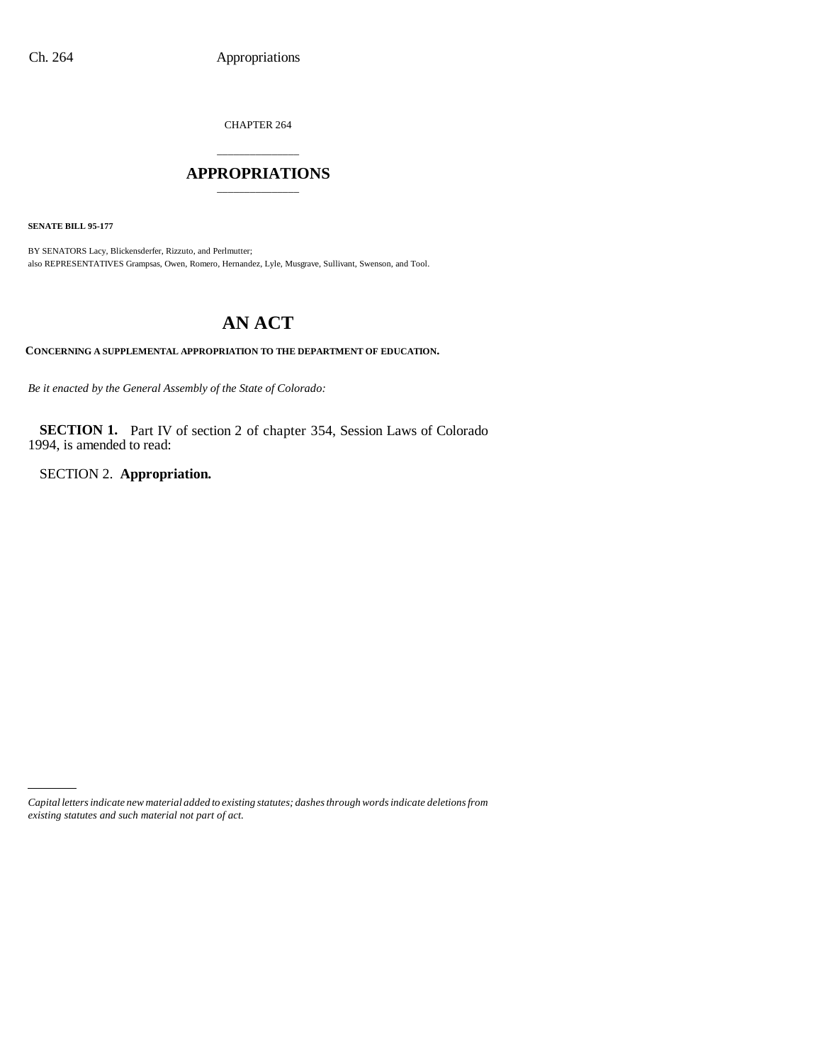CHAPTER 264

## \_\_\_\_\_\_\_\_\_\_\_\_\_\_\_ **APPROPRIATIONS** \_\_\_\_\_\_\_\_\_\_\_\_\_\_\_

**SENATE BILL 95-177**

BY SENATORS Lacy, Blickensderfer, Rizzuto, and Perlmutter; also REPRESENTATIVES Grampsas, Owen, Romero, Hernandez, Lyle, Musgrave, Sullivant, Swenson, and Tool.

# **AN ACT**

**CONCERNING A SUPPLEMENTAL APPROPRIATION TO THE DEPARTMENT OF EDUCATION.**

*Be it enacted by the General Assembly of the State of Colorado:*

**SECTION 1.** Part IV of section 2 of chapter 354, Session Laws of Colorado 1994, is amended to read:

SECTION 2. **Appropriation.**

*Capital letters indicate new material added to existing statutes; dashes through words indicate deletions from existing statutes and such material not part of act.*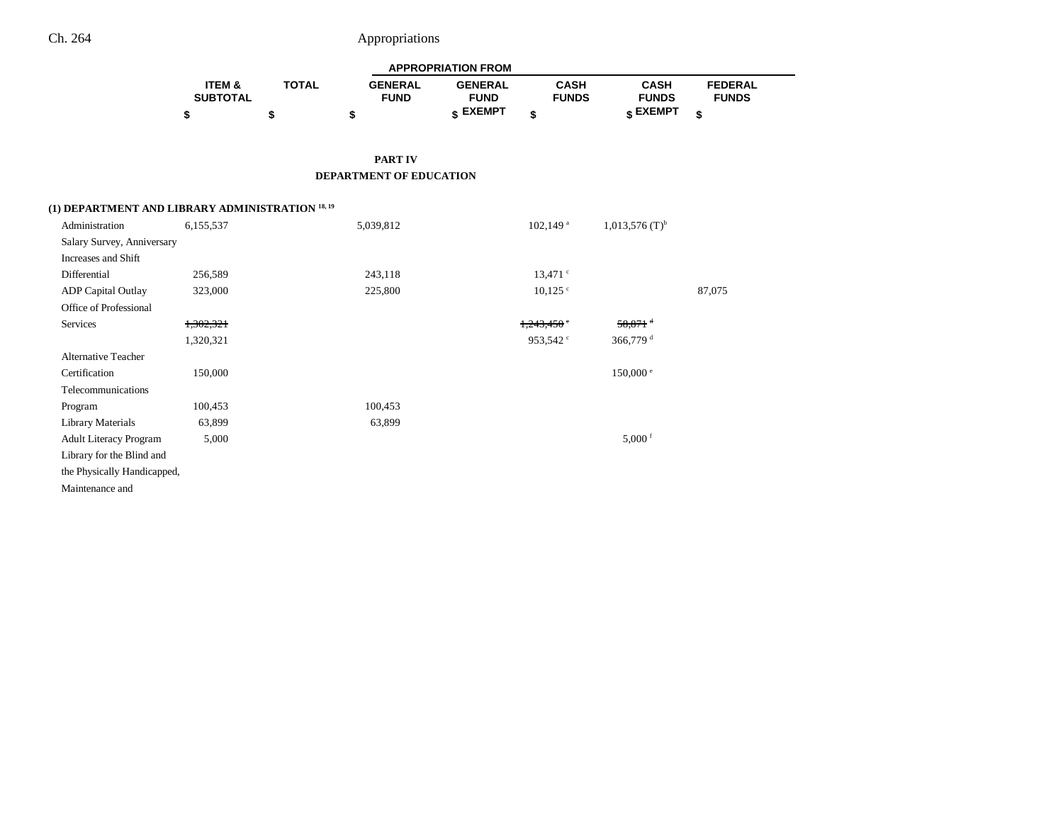| <b>APPROPRIATION FROM</b> |              |                |                 |              |                 |                |  |
|---------------------------|--------------|----------------|-----------------|--------------|-----------------|----------------|--|
| <b>ITEM &amp;</b>         | <b>TOTAL</b> | <b>GENERAL</b> | <b>GENERAL</b>  | CASH         | <b>CASH</b>     | <b>FEDERAL</b> |  |
| <b>SUBTOTAL</b>           |              | <b>FUND</b>    | <b>FUND</b>     | <b>FUNDS</b> | <b>FUNDS</b>    | <b>FUNDS</b>   |  |
|                           |              |                | <b>« EXEMPT</b> |              | <b>« EXEMPT</b> |                |  |

**PART IV DEPARTMENT OF EDUCATION**

## **(1) DEPARTMENT AND LIBRARY ADMINISTRATION 18, 19**

| Administration                | 6,155,537 | 5,039,812 | $102,149$ <sup>a</sup> | $1,013,576$ (T) <sup>b</sup> |        |
|-------------------------------|-----------|-----------|------------------------|------------------------------|--------|
| Salary Survey, Anniversary    |           |           |                        |                              |        |
| Increases and Shift           |           |           |                        |                              |        |
| Differential                  | 256,589   | 243,118   | $13,471$ $\degree$     |                              |        |
| <b>ADP</b> Capital Outlay     | 323,000   | 225,800   | $10,125$ $\degree$     |                              | 87,075 |
| Office of Professional        |           |           |                        |                              |        |
| Services                      | 1,302,321 |           | 1,243,450              | $58,871$ <sup>d</sup>        |        |
|                               | 1,320,321 |           | 953,542 <sup>c</sup>   | 366,779 $^{\rm d}$           |        |
| Alternative Teacher           |           |           |                        |                              |        |
| Certification                 | 150,000   |           |                        | 150,000 °                    |        |
| Telecommunications            |           |           |                        |                              |        |
| Program                       | 100,453   | 100,453   |                        |                              |        |
| Library Materials             | 63,899    | 63,899    |                        |                              |        |
| <b>Adult Literacy Program</b> | 5,000     |           |                        | $5,000$ <sup>f</sup>         |        |
| Library for the Blind and     |           |           |                        |                              |        |
| the Physically Handicapped,   |           |           |                        |                              |        |
| Maintenance and               |           |           |                        |                              |        |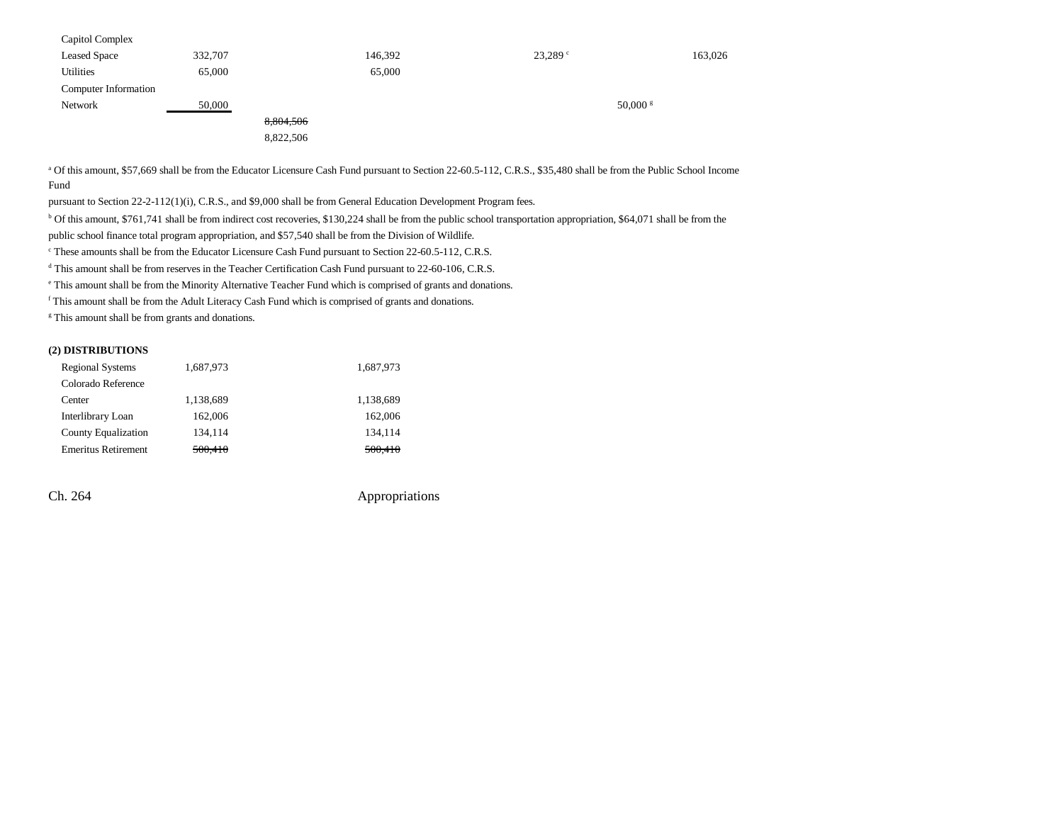| Capitol Complex      |         |           |         |            |         |
|----------------------|---------|-----------|---------|------------|---------|
| <b>Leased Space</b>  | 332,707 |           | 146,392 | 23,289°    | 163,026 |
| Utilities            | 65,000  |           | 65,000  |            |         |
| Computer Information |         |           |         |            |         |
| Network              | 50,000  |           |         | $50,000$ s |         |
|                      |         | 8,804,506 |         |            |         |
|                      |         | 8,822,506 |         |            |         |

a Of this amount, \$57,669 shall be from the Educator Licensure Cash Fund pursuant to Section 22-60.5-112, C.R.S., \$35,480 shall be from the Public School Income Fund

pursuant to Section 22-2-112(1)(i), C.R.S., and \$9,000 shall be from General Education Development Program fees.

<sup>b</sup> Of this amount, \$761,741 shall be from indirect cost recoveries, \$130,224 shall be from the public school transportation appropriation, \$64,071 shall be from the

public school finance total program appropriation, and \$57,540 shall be from the Division of Wildlife.

c These amounts shall be from the Educator Licensure Cash Fund pursuant to Section 22-60.5-112, C.R.S.

<sup>d</sup> This amount shall be from reserves in the Teacher Certification Cash Fund pursuant to 22-60-106, C.R.S.

e This amount shall be from the Minority Alternative Teacher Fund which is comprised of grants and donations.

f This amount shall be from the Adult Literacy Cash Fund which is comprised of grants and donations.

<sup>g</sup> This amount shall be from grants and donations.

#### **(2) DISTRIBUTIONS**

| <b>Regional Systems</b>    | 1,687,973 | 1,687,973 |
|----------------------------|-----------|-----------|
| Colorado Reference         |           |           |
| Center                     | 1,138,689 | 1,138,689 |
| Interlibrary Loan          | 162,006   | 162,006   |
| <b>County Equalization</b> | 134,114   | 134,114   |
| <b>Emeritus Retirement</b> | 500,410   | 500,410   |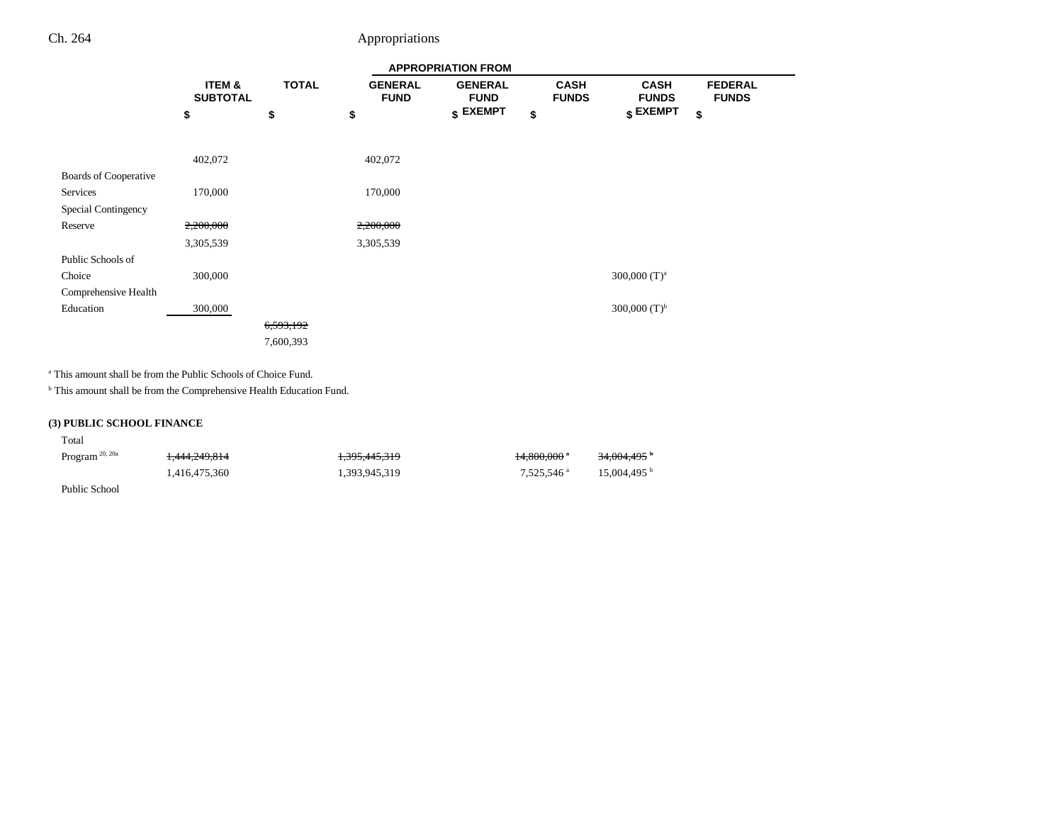|                       |                           |              |                               | <b>APPROPRIATION FROM</b>     |                             |                             |                                |
|-----------------------|---------------------------|--------------|-------------------------------|-------------------------------|-----------------------------|-----------------------------|--------------------------------|
|                       | ITEM &<br><b>SUBTOTAL</b> | <b>TOTAL</b> | <b>GENERAL</b><br><b>FUND</b> | <b>GENERAL</b><br><b>FUND</b> | <b>CASH</b><br><b>FUNDS</b> | <b>CASH</b><br><b>FUNDS</b> | <b>FEDERAL</b><br><b>FUNDS</b> |
|                       | \$                        | \$           | \$                            | $$$ EXEMPT                    | \$                          | \$ EXEMPT                   | \$                             |
|                       |                           |              |                               |                               |                             |                             |                                |
|                       | 402,072                   |              | 402,072                       |                               |                             |                             |                                |
| Boards of Cooperative |                           |              |                               |                               |                             |                             |                                |
| Services              | 170,000                   |              | 170,000                       |                               |                             |                             |                                |
| Special Contingency   |                           |              |                               |                               |                             |                             |                                |
| Reserve               | 2,200,000                 |              | 2,200,000                     |                               |                             |                             |                                |
|                       | 3,305,539                 |              | 3,305,539                     |                               |                             |                             |                                |
| Public Schools of     |                           |              |                               |                               |                             |                             |                                |
| Choice                | 300,000                   |              |                               |                               |                             | 300,000 $(T)^a$             |                                |
| Comprehensive Health  |                           |              |                               |                               |                             |                             |                                |
| Education             | 300,000                   |              |                               |                               |                             | 300,000 $(T)^b$             |                                |
|                       |                           | 6,593,192    |                               |                               |                             |                             |                                |
|                       |                           | 7,600,393    |                               |                               |                             |                             |                                |

a This amount shall be from the Public Schools of Choice Fund.

 $^{\rm b}$  This amount shall be from the Comprehensive Health Education Fund.

### **(3) PUBLIC SCHOOL FINANCE**

Total

|                                | <del>14.800.000</del> * | 34,004,495 <sup>b</sup> |
|--------------------------------|-------------------------|-------------------------|
| 1.416.475.360<br>1.393.945.319 | 7.525.546 <sup>a</sup>  | 15.004.495 <sup>b</sup> |

Public School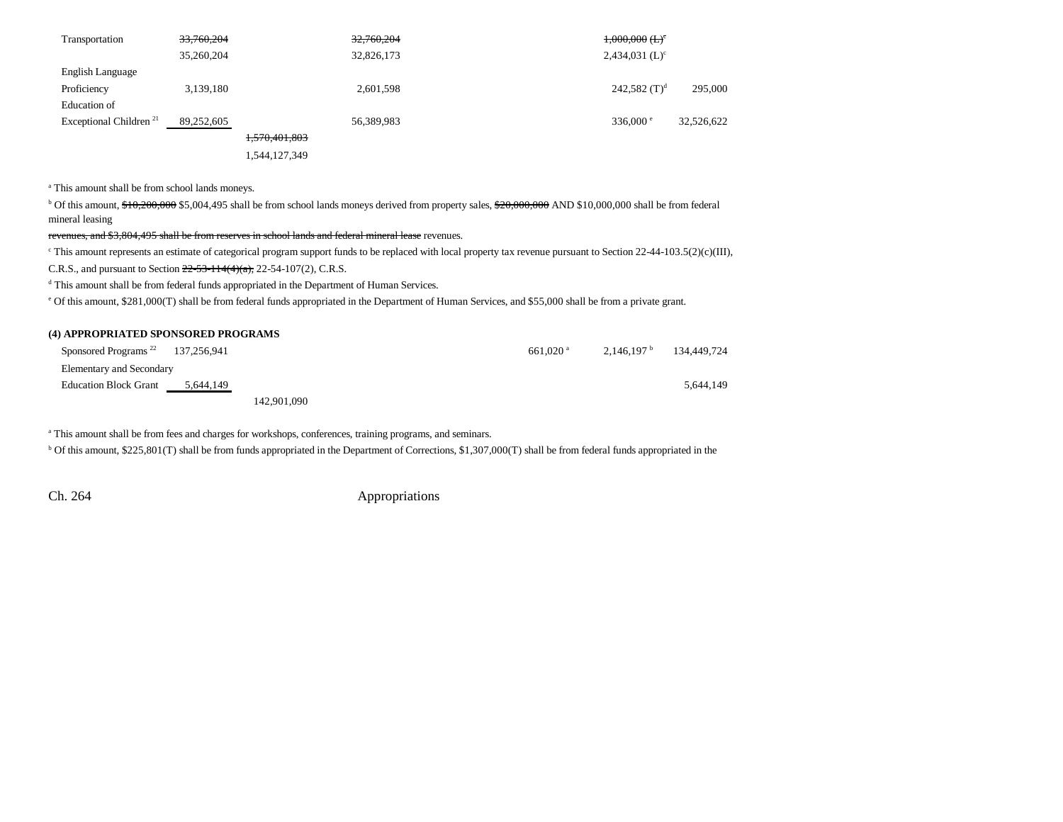| Transportation                     | 33,760,204 | 32,760,204    | $1,000,000$ (L) <sup>c</sup> |            |
|------------------------------------|------------|---------------|------------------------------|------------|
|                                    | 35,260,204 | 32,826,173    | $2,434,031$ (L) <sup>c</sup> |            |
| English Language                   |            |               |                              |            |
| Proficiency                        | 3,139,180  | 2,601,598     | 242,582 $(T)^d$              | 295,000    |
| Education of                       |            |               |                              |            |
| Exceptional Children <sup>21</sup> | 89,252,605 | 56,389,983    | 336,000 $^{\circ}$           | 32,526,622 |
|                                    |            | 1,570,401,803 |                              |            |
|                                    |            | 1,544,127,349 |                              |            |

a This amount shall be from school lands moneys.

<sup>b</sup> Of this amount, \$10,200,000 \$5,004,495 shall be from school lands moneys derived from property sales, \$20,000,000 AND \$10,000,000 shall be from federal mineral leasing

revenues, and \$3,804,495 shall be from reserves in school lands and federal mineral lease revenues.

<sup>e</sup> This amount represents an estimate of categorical program support funds to be replaced with local property tax revenue pursuant to Section 22-44-103.5(2)(c)(III),

C.R.S., and pursuant to Section 22-53-114(4)(a), 22-54-107(2), C.R.S.

d This amount shall be from federal funds appropriated in the Department of Human Services.

e Of this amount, \$281,000(T) shall be from federal funds appropriated in the Department of Human Services, and \$55,000 shall be from a private grant.

#### **(4) APPROPRIATED SPONSORED PROGRAMS**

| Sponsored Programs <sup><math>22</math></sup> 137,256,941 |           |             |  | $661.020$ <sup>a</sup> | 2.146.197 <sup>b</sup> | 134.449.724 |
|-----------------------------------------------------------|-----------|-------------|--|------------------------|------------------------|-------------|
| Elementary and Secondary                                  |           |             |  |                        |                        |             |
| <b>Education Block Grant</b>                              | 5.644.149 |             |  |                        |                        | 5.644.149   |
|                                                           |           | 142,901,090 |  |                        |                        |             |

a This amount shall be from fees and charges for workshops, conferences, training programs, and seminars.

<sup>b</sup> Of this amount, \$225,801(T) shall be from funds appropriated in the Department of Corrections, \$1,307,000(T) shall be from federal funds appropriated in the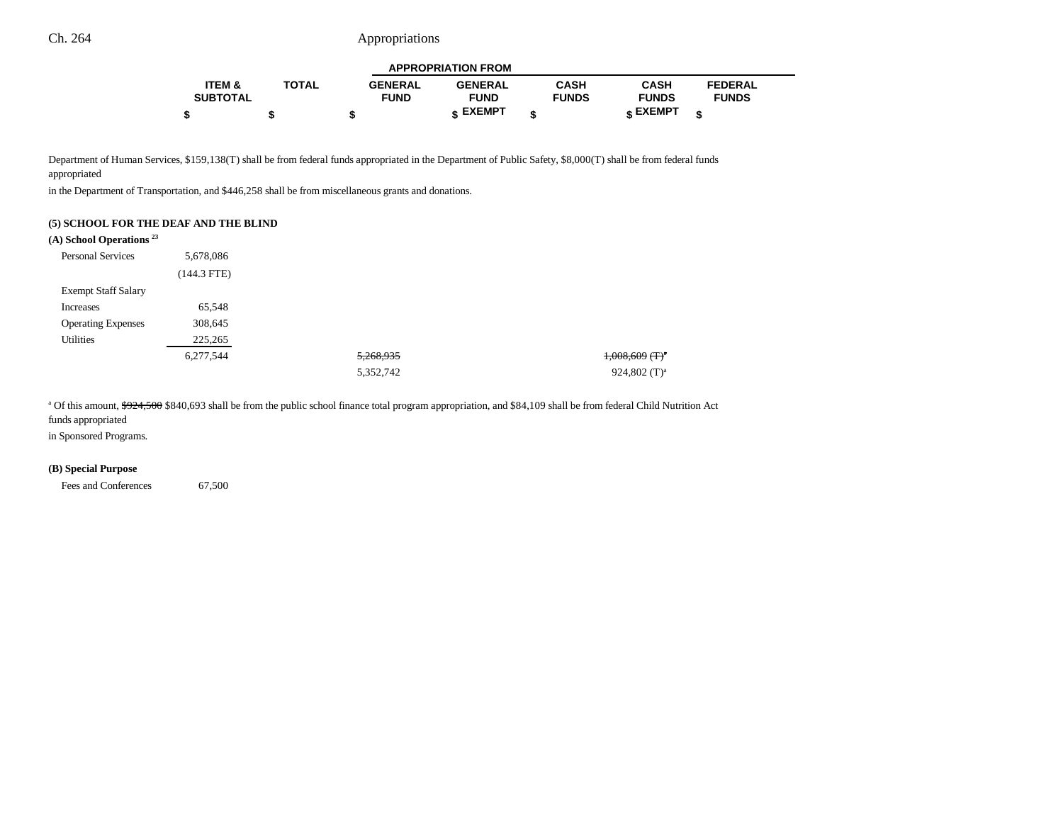|                   |              |                | <b>APPROPRIATION FROM</b> |              |                 |                |  |
|-------------------|--------------|----------------|---------------------------|--------------|-----------------|----------------|--|
| <b>ITEM &amp;</b> | <b>TOTAL</b> | <b>GENERAL</b> | <b>GENERAL</b>            | CASH         | <b>CASH</b>     | <b>FEDERAL</b> |  |
| <b>SUBTOTAL</b>   |              | <b>FUND</b>    | <b>FUND</b>               | <b>FUNDS</b> | <b>FUNDS</b>    | <b>FUNDS</b>   |  |
|                   |              |                | c EXEMPT                  |              | <b>« EXEMPT</b> |                |  |

٠

Department of Human Services, \$159,138(T) shall be from federal funds appropriated in the Department of Public Safety, \$8,000(T) shall be from federal funds appropriated

in the Department of Transportation, and \$446,258 shall be from miscellaneous grants and donations.

#### **(5) SCHOOL FOR THE DEAF AND THE BLIND**

### **(A) School Operations 23**

| <b>Personal Services</b>   | 5,678,086     |           |                              |
|----------------------------|---------------|-----------|------------------------------|
|                            | $(144.3$ FTE) |           |                              |
| <b>Exempt Staff Salary</b> |               |           |                              |
| Increases                  | 65,548        |           |                              |
| <b>Operating Expenses</b>  | 308,645       |           |                              |
| Utilities                  | 225,265       |           |                              |
|                            | 6,277,544     | 5,268,935 | $1,008,609$ (T) <sup>a</sup> |
|                            |               | 5,352,742 | 924,802 $(T)^a$              |

<sup>a</sup> Of this amount, \$924,500 \$840,693 shall be from the public school finance total program appropriation, and \$84,109 shall be from federal Child Nutrition Act

funds appropriated

in Sponsored Programs.

#### **(B) Special Purpose**

Fees and Conferences 67,500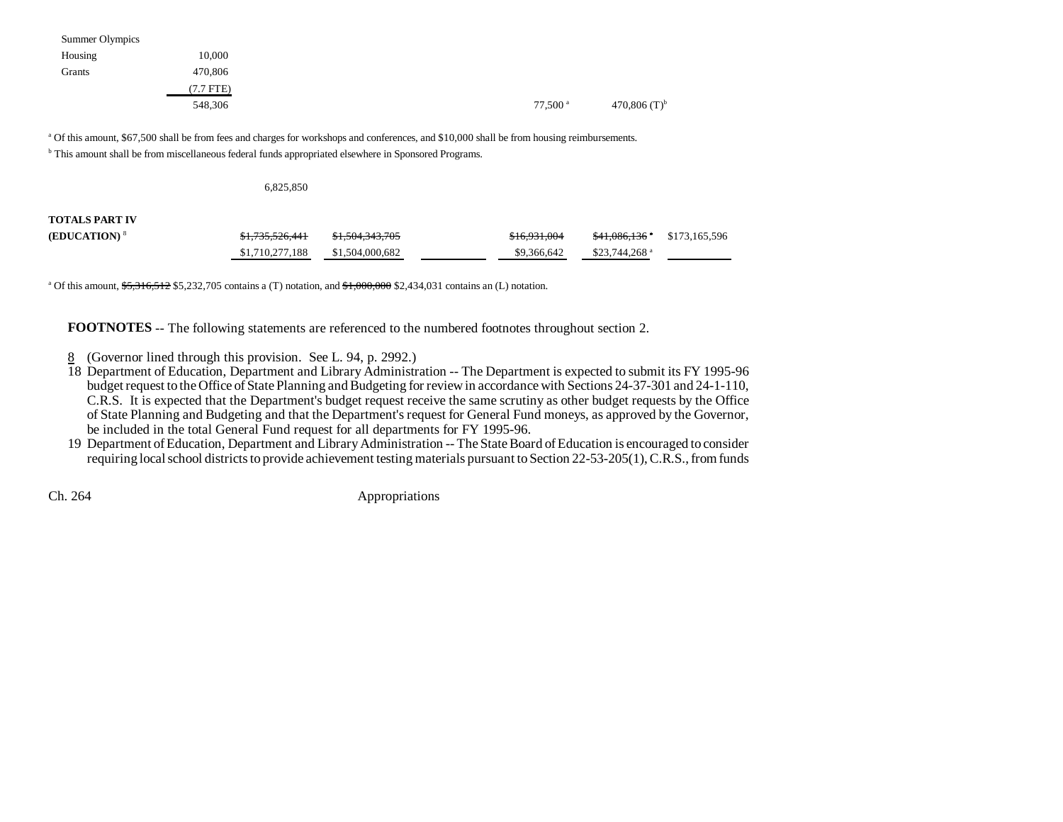| Summer Olympics |             |                       |                   |
|-----------------|-------------|-----------------------|-------------------|
| Housing         | 10,000      |                       |                   |
| Grants          | 470,806     |                       |                   |
|                 | $(7.7$ FTE) |                       |                   |
|                 | 548,306     | $77,500$ <sup>a</sup> | 470,806 $(T)^{b}$ |
|                 |             |                       |                   |

<sup>a</sup> Of this amount, \$67,500 shall be from fees and charges for workshops and conferences, and \$10,000 shall be from housing reimbursements. <sup>b</sup> This amount shall be from miscellaneous federal funds appropriated elsewhere in Sponsored Programs.

6,825,850

## **TOTALS PART IV**

| <b>(EDUCATION) 8</b> | <del>\$1,735,526,441</del> | <del>\$1,504,343,705</del> | \$16.931.004 | <del>\$41,086,136</del> \$173,165,596 |  |
|----------------------|----------------------------|----------------------------|--------------|---------------------------------------|--|
|                      | \$1,710,277,188            | \$1,504,000,682            | \$9,366,642  | $$23,744,268$ <sup>a</sup>            |  |

<sup>a</sup> Of this amount,  $\frac{65,316,512}{5,232,705}$  contains a (T) notation, and  $\frac{41,000,000}{5,2434,031}$  contains an (L) notation.

**FOOTNOTES** -- The following statements are referenced to the numbered footnotes throughout section 2.

- 8 (Governor lined through this provision. See L. 94, p. 2992.)
- 18 Department of Education, Department and Library Administration -- The Department is expected to submit its FY 1995-96 budget request to the Office of State Planning and Budgeting for review in accordance with Sections 24-37-301 and 24-1-110, C.R.S. It is expected that the Department's budget request receive the same scrutiny as other budget requests by the Office of State Planning and Budgeting and that the Department's request for General Fund moneys, as approved by the Governor, be included in the total General Fund request for all departments for FY 1995-96.
- 19 Department of Education, Department and Library Administration -- The State Board of Education is encouraged to consider requiring local school districts to provide achievement testing materials pursuant to Section 22-53-205(1), C.R.S., from funds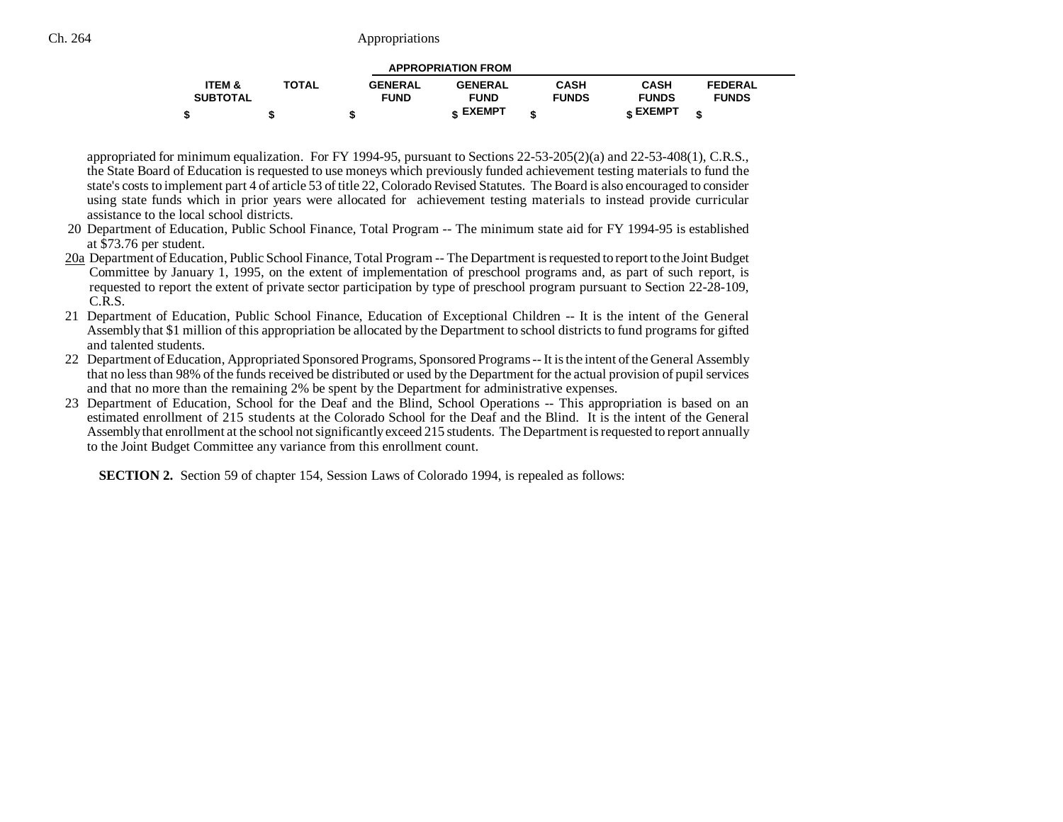| <b>APPROPRIATION FROM</b> |              |                |                 |              |              |                |  |
|---------------------------|--------------|----------------|-----------------|--------------|--------------|----------------|--|
| <b>ITEM &amp;</b>         | <b>TOTAL</b> | <b>GENERAL</b> | <b>GENERAL</b>  | <b>CASH</b>  | <b>CASH</b>  | <b>FEDERAL</b> |  |
| <b>SUBTOTAL</b>           |              | <b>FUND</b>    | <b>FUND</b>     | <b>FUNDS</b> | <b>FUNDS</b> | <b>FUNDS</b>   |  |
|                           |              | ъĐ             | <b>« EXEMPT</b> |              | EXEMPT -     |                |  |

appropriated for minimum equalization. For FY 1994-95, pursuant to Sections 22-53-205(2)(a) and 22-53-408(1), C.R.S., the State Board of Education is requested to use moneys which previously funded achievement testing materials to fund the state's costs to implement part 4 of article 53 of title 22, Colorado Revised Statutes. The Board is also encouraged to consider using state funds which in prior years were allocated for achievement testing materials to instead provide curricular assistance to the local school districts.

- 20 Department of Education, Public School Finance, Total Program -- The minimum state aid for FY 1994-95 is established at \$73.76 per student.
- 20a Department of Education, Public School Finance, Total Program -- The Department is requested to report to the Joint Budget Committee by January 1, 1995, on the extent of implementation of preschool programs and, as part of such report, is requested to report the extent of private sector participation by type of preschool program pursuant to Section 22-28-109, C.R.S.
- 21 Department of Education, Public School Finance, Education of Exceptional Children -- It is the intent of the General Assembly that \$1 million of this appropriation be allocated by the Department to school districts to fund programs for gifted and talented students.
- 22 Department of Education, Appropriated Sponsored Programs, Sponsored Programs -- It is the intent of the General Assembly that no less than 98% of the funds received be distributed or used by the Department for the actual provision of pupil services and that no more than the remaining 2% be spent by the Department for administrative expenses.
- 23 Department of Education, School for the Deaf and the Blind, School Operations -- This appropriation is based on an estimated enrollment of 215 students at the Colorado School for the Deaf and the Blind. It is the intent of the General Assembly that enrollment at the school not significantly exceed 215 students. The Department is requested to report annually to the Joint Budget Committee any variance from this enrollment count.

**SECTION 2.** Section 59 of chapter 154, Session Laws of Colorado 1994, is repealed as follows: